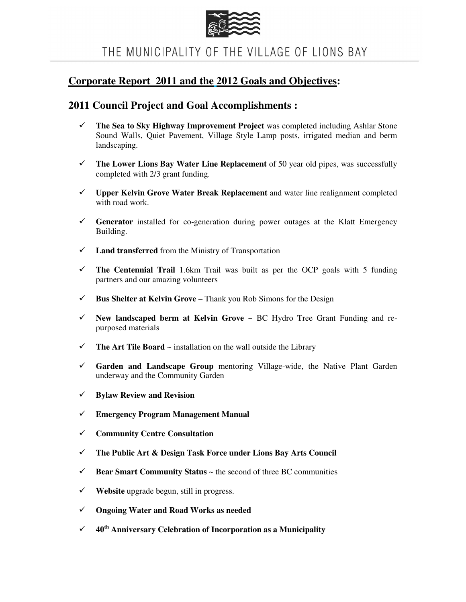

THE MUNICIPALITY OF THE VILLAGE OF LIONS BAY

## **Corporate Report 2011 and the 2012 Goals and Objectives:**

## **2011 Council Project and Goal Accomplishments :**

- **The Sea to Sky Highway Improvement Project** was completed including Ashlar Stone Sound Walls, Quiet Pavement, Village Style Lamp posts, irrigated median and berm landscaping.
- $\checkmark$  The Lower Lions Bay Water Line Replacement of 50 year old pipes, was successfully completed with 2/3 grant funding.
- **Upper Kelvin Grove Water Break Replacement** and water line realignment completed with road work.
- **Generator** installed for co-generation during power outages at the Klatt Emergency Building.
- $\checkmark$  **Land transferred** from the Ministry of Transportation
- $\checkmark$  The Centennial Trail 1.6km Trail was built as per the OCP goals with 5 funding partners and our amazing volunteers
- $\checkmark$  **Bus Shelter at Kelvin Grove** Thank you Rob Simons for the Design
- **New landscaped berm at Kelvin Grove** ~ BC Hydro Tree Grant Funding and repurposed materials
- $\checkmark$  The Art Tile Board  $\sim$  installation on the wall outside the Library
- **Garden and Landscape Group** mentoring Village-wide, the Native Plant Garden underway and the Community Garden
- **Bylaw Review and Revision**
- **Emergency Program Management Manual**
- **Community Centre Consultation**
- **The Public Art & Design Task Force under Lions Bay Arts Council**
- $\checkmark$  **Bear Smart Community Status**  $\sim$  the second of three BC communities
- **Website** upgrade begun, still in progress.
- **Ongoing Water and Road Works as needed**
- **40th Anniversary Celebration of Incorporation as a Municipality**